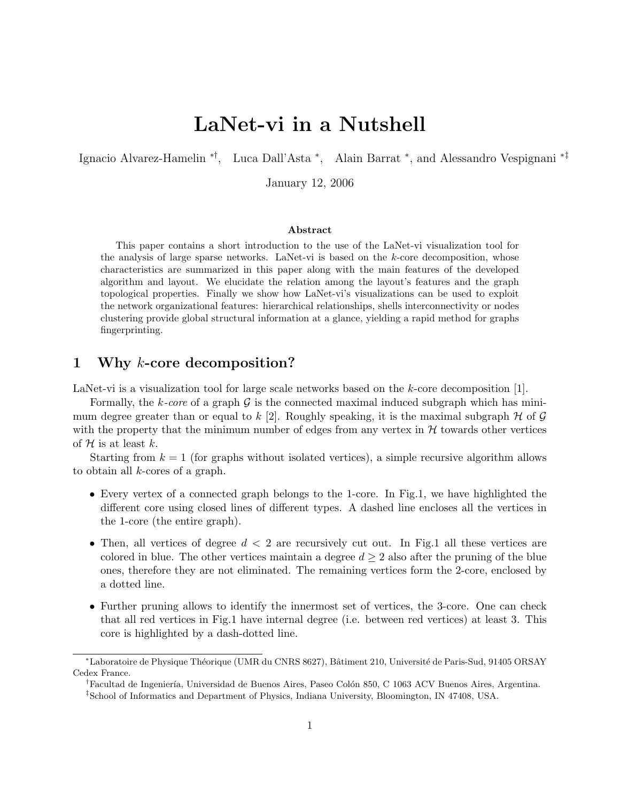# LaNet-vi in a Nutshell

Ignacio Alvarez-Hamelin ∗†, Luca Dall'Asta <sup>∗</sup> , Alain Barrat <sup>∗</sup> , and Alessandro Vespignani ∗‡

January 12, 2006

#### Abstract

This paper contains a short introduction to the use of the LaNet-vi visualization tool for the analysis of large sparse networks. LaNet-vi is based on the  $k$ -core decomposition, whose characteristics are summarized in this paper along with the main features of the developed algorithm and layout. We elucidate the relation among the layout's features and the graph topological properties. Finally we show how LaNet-vi's visualizations can be used to exploit the network organizational features: hierarchical relationships, shells interconnectivity or nodes clustering provide global structural information at a glance, yielding a rapid method for graphs fingerprinting.

## 1 Why k-core decomposition?

LaNet-vi is a visualization tool for large scale networks based on the k-core decomposition [1].

Formally, the k-core of a graph  $\mathcal G$  is the connected maximal induced subgraph which has minimum degree greater than or equal to k [2]. Roughly speaking, it is the maximal subgraph  $H$  of G with the property that the minimum number of edges from any vertex in  $H$  towards other vertices of  $H$  is at least k.

Starting from  $k = 1$  (for graphs without isolated vertices), a simple recursive algorithm allows to obtain all k-cores of a graph.

- Every vertex of a connected graph belongs to the 1-core. In Fig.1, we have highlighted the different core using closed lines of different types. A dashed line encloses all the vertices in the 1-core (the entire graph).
- Then, all vertices of degree  $d < 2$  are recursively cut out. In Fig.1 all these vertices are colored in blue. The other vertices maintain a degree  $d \geq 2$  also after the pruning of the blue ones, therefore they are not eliminated. The remaining vertices form the 2-core, enclosed by a dotted line.
- Further pruning allows to identify the innermost set of vertices, the 3-core. One can check that all red vertices in Fig.1 have internal degree (i.e. between red vertices) at least 3. This core is highlighted by a dash-dotted line.

<sup>∗</sup>Laboratoire de Physique Th´eorique (UMR du CNRS 8627), Bˆatiment 210, Universit´e de Paris-Sud, 91405 ORSAY Cedex France.

<sup>&</sup>lt;sup>†</sup>Facultad de Ingeniería, Universidad de Buenos Aires, Paseo Colón 850, C 1063 ACV Buenos Aires, Argentina.

<sup>‡</sup>School of Informatics and Department of Physics, Indiana University, Bloomington, IN 47408, USA.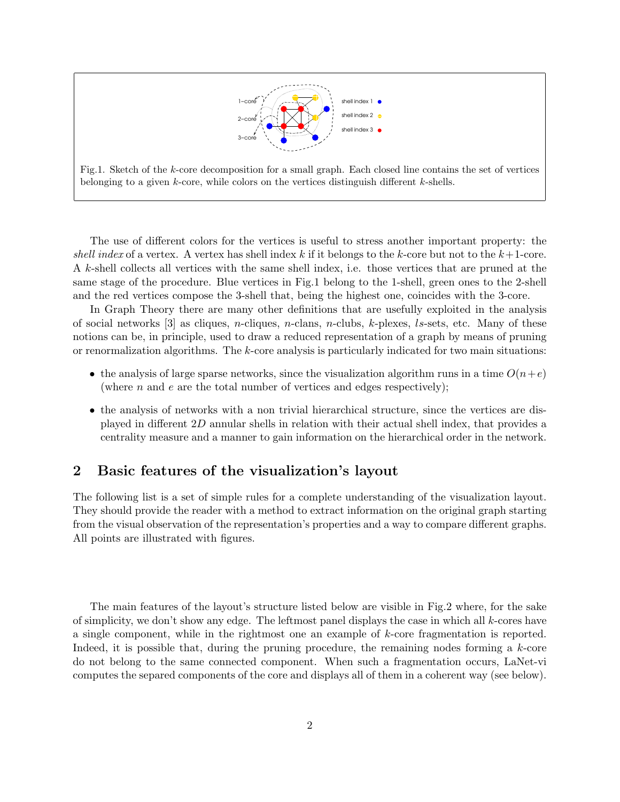



The use of different colors for the vertices is useful to stress another important property: the shell index of a vertex. A vertex has shell index k if it belongs to the k-core but not to the  $k+1$ -core. A k-shell collects all vertices with the same shell index, i.e. those vertices that are pruned at the same stage of the procedure. Blue vertices in Fig.1 belong to the 1-shell, green ones to the 2-shell and the red vertices compose the 3-shell that, being the highest one, coincides with the 3-core.

In Graph Theory there are many other definitions that are usefully exploited in the analysis of social networks  $[3]$  as cliques, *n*-cliques, *n*-clans, *n*-clubs, *k*-plexes, *ls*-sets, etc. Many of these notions can be, in principle, used to draw a reduced representation of a graph by means of pruning or renormalization algorithms. The k-core analysis is particularly indicated for two main situations:

- the analysis of large sparse networks, since the visualization algorithm runs in a time  $O(n+e)$ (where n and e are the total number of vertices and edges respectively);
- the analysis of networks with a non trivial hierarchical structure, since the vertices are displayed in different 2D annular shells in relation with their actual shell index, that provides a centrality measure and a manner to gain information on the hierarchical order in the network.

## 2 Basic features of the visualization's layout

The following list is a set of simple rules for a complete understanding of the visualization layout. They should provide the reader with a method to extract information on the original graph starting from the visual observation of the representation's properties and a way to compare different graphs. All points are illustrated with figures.

The main features of the layout's structure listed below are visible in Fig.2 where, for the sake of simplicity, we don't show any edge. The leftmost panel displays the case in which all  $k$ -cores have a single component, while in the rightmost one an example of k-core fragmentation is reported. Indeed, it is possible that, during the pruning procedure, the remaining nodes forming a  $k$ -core do not belong to the same connected component. When such a fragmentation occurs, LaNet-vi computes the separed components of the core and displays all of them in a coherent way (see below).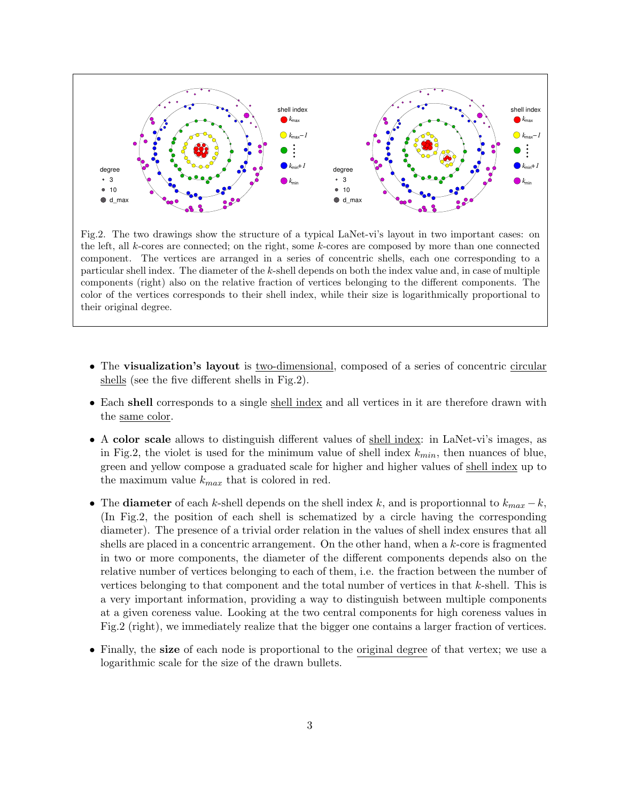

Fig.2. The two drawings show the structure of a typical LaNet-vi's layout in two important cases: on the left, all k-cores are connected; on the right, some k-cores are composed by more than one connected component. The vertices are arranged in a series of concentric shells, each one corresponding to a particular shell index. The diameter of the k-shell depends on both the index value and, in case of multiple components (right) also on the relative fraction of vertices belonging to the different components. The color of the vertices corresponds to their shell index, while their size is logarithmically proportional to their original degree.

- The visualization's layout is two-dimensional, composed of a series of concentric circular shells (see the five different shells in Fig.2).
- Each shell corresponds to a single shell index and all vertices in it are therefore drawn with the same color.
- A color scale allows to distinguish different values of shell index: in LaNet-vi's images, as in Fig.2, the violet is used for the minimum value of shell index  $k_{min}$ , then nuances of blue, green and yellow compose a graduated scale for higher and higher values of shell index up to the maximum value  $k_{max}$  that is colored in red.
- The diameter of each k-shell depends on the shell index k, and is proportionnal to  $k_{max} k$ , (In Fig.2, the position of each shell is schematized by a circle having the corresponding diameter). The presence of a trivial order relation in the values of shell index ensures that all shells are placed in a concentric arrangement. On the other hand, when a k-core is fragmented in two or more components, the diameter of the different components depends also on the relative number of vertices belonging to each of them, i.e. the fraction between the number of vertices belonging to that component and the total number of vertices in that  $k$ -shell. This is a very important information, providing a way to distinguish between multiple components at a given coreness value. Looking at the two central components for high coreness values in Fig.2 (right), we immediately realize that the bigger one contains a larger fraction of vertices.
- Finally, the **size** of each node is proportional to the original degree of that vertex; we use a logarithmic scale for the size of the drawn bullets.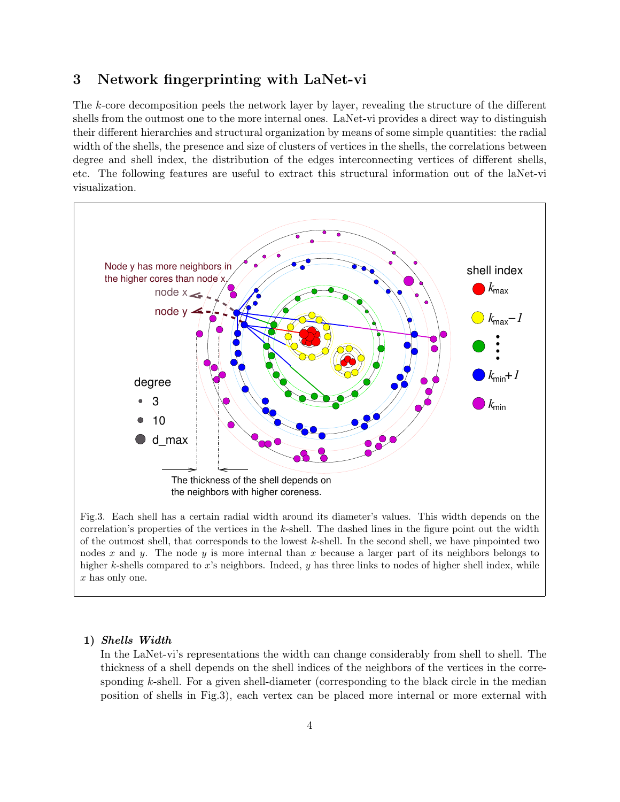## 3 Network fingerprinting with LaNet-vi

The k-core decomposition peels the network layer by layer, revealing the structure of the different shells from the outmost one to the more internal ones. LaNet-vi provides a direct way to distinguish their different hierarchies and structural organization by means of some simple quantities: the radial width of the shells, the presence and size of clusters of vertices in the shells, the correlations between degree and shell index, the distribution of the edges interconnecting vertices of different shells, etc. The following features are useful to extract this structural information out of the laNet-vi visualization.



Fig.3. Each shell has a certain radial width around its diameter's values. This width depends on the correlation's properties of the vertices in the  $k$ -shell. The dashed lines in the figure point out the width of the outmost shell, that corresponds to the lowest  $k$ -shell. In the second shell, we have pinpointed two nodes x and y. The node y is more internal than x because a larger part of its neighbors belongs to higher k-shells compared to x's neighbors. Indeed, y has three links to nodes of higher shell index, while x has only one.

#### 1) Shells Width

In the LaNet-vi's representations the width can change considerably from shell to shell. The thickness of a shell depends on the shell indices of the neighbors of the vertices in the corresponding k-shell. For a given shell-diameter (corresponding to the black circle in the median position of shells in Fig.3), each vertex can be placed more internal or more external with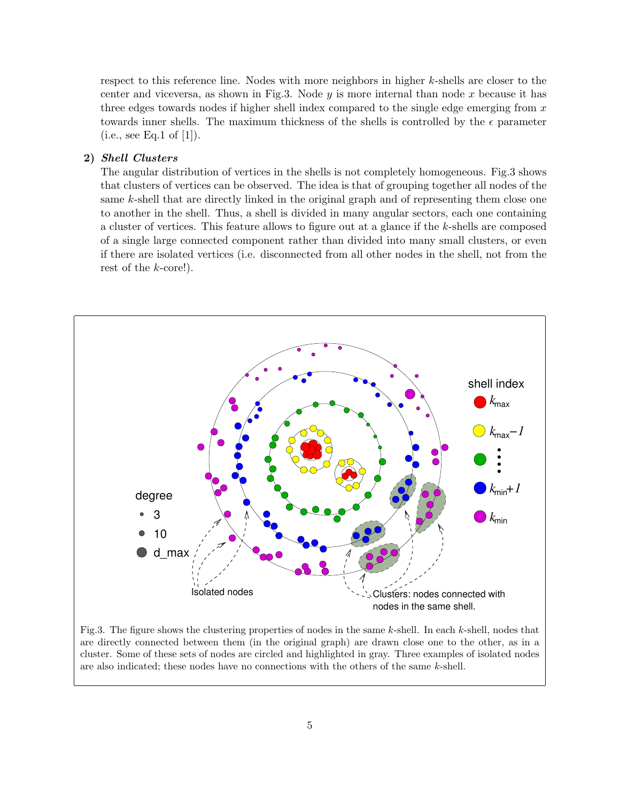respect to this reference line. Nodes with more neighbors in higher k-shells are closer to the center and viceversa, as shown in Fig.3. Node  $y$  is more internal than node  $x$  because it has three edges towards nodes if higher shell index compared to the single edge emerging from  $x$ towards inner shells. The maximum thickness of the shells is controlled by the  $\epsilon$  parameter  $(i.e., see Eq.1 of [1]).$ 

#### 2) Shell Clusters

The angular distribution of vertices in the shells is not completely homogeneous. Fig.3 shows that clusters of vertices can be observed. The idea is that of grouping together all nodes of the same k-shell that are directly linked in the original graph and of representing them close one to another in the shell. Thus, a shell is divided in many angular sectors, each one containing a cluster of vertices. This feature allows to figure out at a glance if the k-shells are composed of a single large connected component rather than divided into many small clusters, or even if there are isolated vertices (i.e. disconnected from all other nodes in the shell, not from the rest of the k-core!).



Fig.3. The figure shows the clustering properties of nodes in the same  $k$ -shell. In each  $k$ -shell, nodes that are directly connected between them (in the original graph) are drawn close one to the other, as in a cluster. Some of these sets of nodes are circled and highlighted in gray. Three examples of isolated nodes are also indicated; these nodes have no connections with the others of the same k-shell.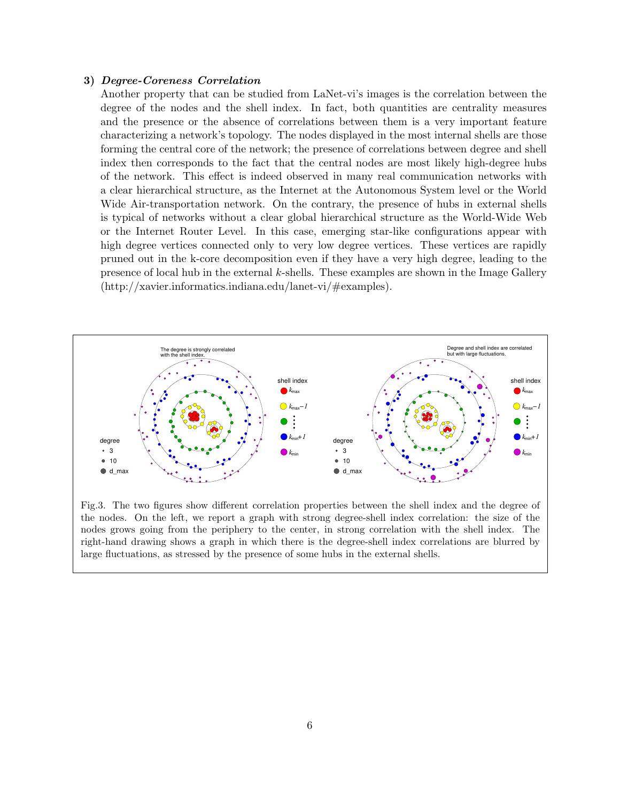#### 3) Degree-Coreness Correlation

Another property that can be studied from LaNet-vi's images is the correlation between the degree of the nodes and the shell index. In fact, both quantities are centrality measures and the presence or the absence of correlations between them is a very important feature characterizing a network's topology. The nodes displayed in the most internal shells are those forming the central core of the network; the presence of correlations between degree and shell index then corresponds to the fact that the central nodes are most likely high-degree hubs of the network. This effect is indeed observed in many real communication networks with a clear hierarchical structure, as the Internet at the Autonomous System level or the World Wide Air-transportation network. On the contrary, the presence of hubs in external shells is typical of networks without a clear global hierarchical structure as the World-Wide Web or the Internet Router Level. In this case, emerging star-like configurations appear with high degree vertices connected only to very low degree vertices. These vertices are rapidly pruned out in the k-core decomposition even if they have a very high degree, leading to the presence of local hub in the external k-shells. These examples are shown in the Image Gallery (http://xavier.informatics.indiana.edu/lanet-vi/#examples).



Fig.3. The two figures show different correlation properties between the shell index and the degree of the nodes. On the left, we report a graph with strong degree-shell index correlation: the size of the nodes grows going from the periphery to the center, in strong correlation with the shell index. The right-hand drawing shows a graph in which there is the degree-shell index correlations are blurred by large fluctuations, as stressed by the presence of some hubs in the external shells.